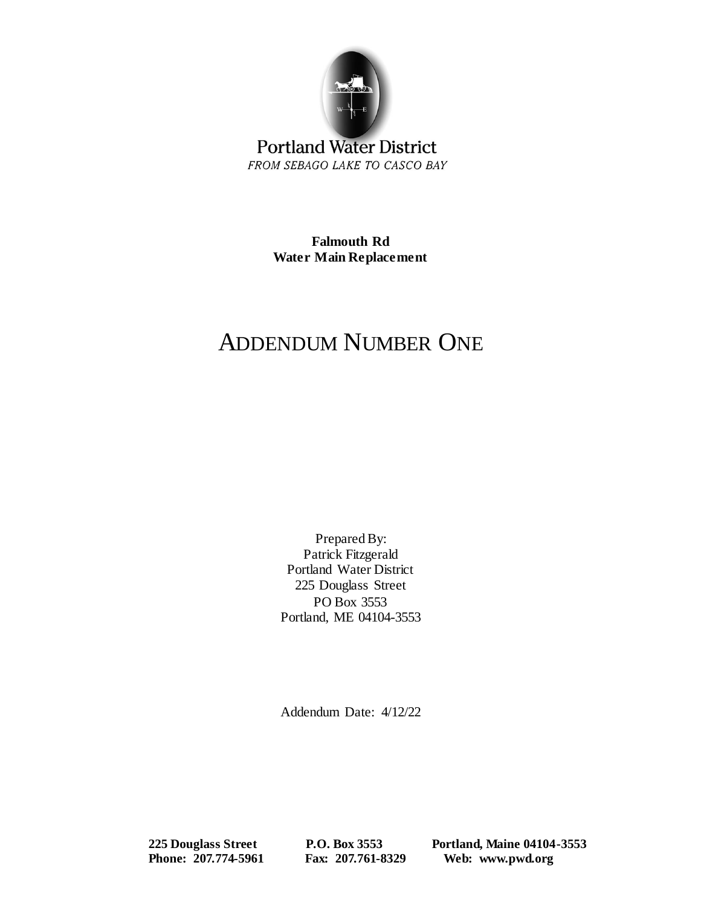

**Portland Water District** FROM SEBAGO LAKE TO CASCO BAY

> **Falmouth Rd Water Main Replacement**

## ADDENDUM NUMBER ONE

Prepared By: Patrick Fitzgerald Portland Water District 225 Douglass Street PO Box 3553 Portland, ME 04104-3553

Addendum Date: 4/12/22

 **225 Douglass Street P.O. Box 3553 Portland, Maine 04104-3553 Phone: 207.774-5961 Fax: 207.761-8329 Web: www.pwd.org**